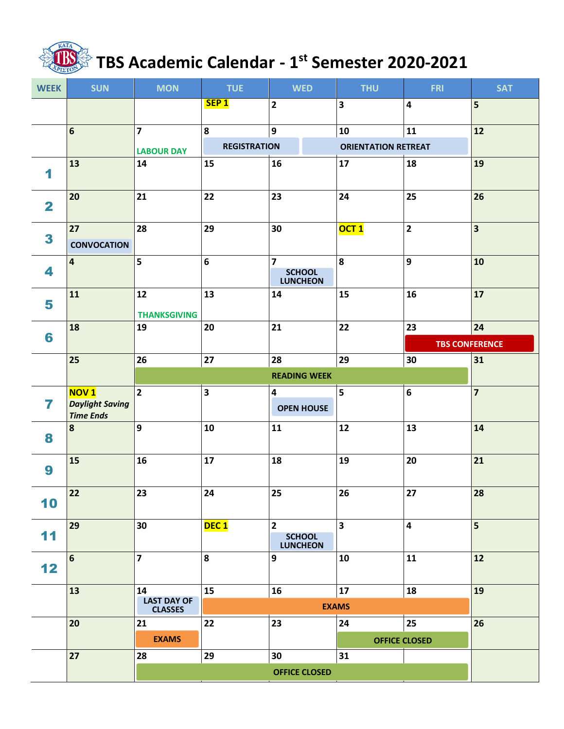

## **TBS Academic Calendar - 1 st Semester 2020-2021**

| <b>WEEK</b>             | <b>SUN</b>                                                | <b>MON</b>                | <b>TUE</b>              | <b>WED</b>                                         | <b>THU</b>                 | <b>FRI</b>              | <b>SAT</b>              |  |
|-------------------------|-----------------------------------------------------------|---------------------------|-------------------------|----------------------------------------------------|----------------------------|-------------------------|-------------------------|--|
|                         |                                                           |                           | SEP <sub>1</sub>        | $\mathbf{2}$                                       | $\overline{\mathbf{3}}$    | $\overline{\mathbf{4}}$ | 5                       |  |
|                         | 6                                                         | $\overline{7}$            | 8                       | 9                                                  | 10                         | ${\bf 11}$              | 12                      |  |
|                         |                                                           | <b>LABOUR DAY</b>         | <b>REGISTRATION</b>     |                                                    | <b>ORIENTATION RETREAT</b> |                         |                         |  |
| 1                       | 13                                                        | 14                        | 15                      | 16                                                 | 17                         | 18                      | 19                      |  |
| $\overline{\mathbf{2}}$ | 20                                                        | 21                        | 22                      | 23                                                 | 24                         | 25                      | 26                      |  |
| 3                       | 27<br><b>CONVOCATION</b>                                  | 28                        | 29                      | 30                                                 | OCT <sub>1</sub>           | $\overline{2}$          | $\overline{\mathbf{3}}$ |  |
| 4                       | 4                                                         | 5                         | $\boldsymbol{6}$        | $\overline{7}$<br><b>SCHOOL</b><br><b>LUNCHEON</b> | 8                          | 9                       | 10                      |  |
| 5                       | 11                                                        | 12<br><b>THANKSGIVING</b> | 13                      | 14                                                 | 15                         | 16                      | 17                      |  |
|                         | 18                                                        | 19                        | 20                      | 21                                                 | 22                         | 23                      | 24                      |  |
| 6                       |                                                           |                           |                         |                                                    |                            | <b>TBS CONFERENCE</b>   |                         |  |
|                         | 25                                                        | 26                        | 27                      | 28                                                 | 29                         | 30                      | 31                      |  |
|                         |                                                           |                           | <b>READING WEEK</b>     |                                                    |                            |                         |                         |  |
| 7                       | <b>NOV1</b><br><b>Daylight Saving</b><br><b>Time Ends</b> | $\overline{2}$            | $\overline{\mathbf{3}}$ | 4<br><b>OPEN HOUSE</b>                             | 5                          | $6\phantom{a}$          | $\overline{7}$          |  |
| 8                       | 8                                                         | 9                         | 10                      | 11                                                 | 12                         | 13                      | 14                      |  |
| 9                       | 15                                                        | 16                        | 17                      | 18                                                 | 19                         | 20                      | 21                      |  |
| 10                      | 22                                                        | 23                        | 24                      | 25                                                 | 26                         | 27                      | 28                      |  |
| 11                      | 29                                                        | 30                        | DEC <sub>1</sub>        | $\overline{2}$<br><b>SCHOOL</b><br><b>LUNCHEON</b> | $\overline{\mathbf{3}}$    | $\overline{\mathbf{4}}$ | 5 <sup>5</sup>          |  |
| 12                      | $\bf 6$                                                   | $\overline{\mathbf{z}}$   | 8                       | $\boldsymbol{9}$                                   | 10                         | 11                      | 12                      |  |
|                         | 13                                                        | 14<br><b>LAST DAY OF</b>  | 15                      | 16                                                 | 17                         | 18                      | 19                      |  |
|                         |                                                           | <b>CLASSES</b>            |                         | <b>EXAMS</b>                                       |                            |                         |                         |  |
|                         | 20                                                        | 21                        | 22                      | 23                                                 | 24                         | 25                      | 26                      |  |
|                         |                                                           | <b>EXAMS</b>              |                         |                                                    | <b>OFFICE CLOSED</b>       |                         |                         |  |
|                         | 27                                                        | 28                        | 29                      | 30                                                 | 31                         |                         |                         |  |
|                         |                                                           | <b>OFFICE CLOSED</b>      |                         |                                                    |                            |                         |                         |  |